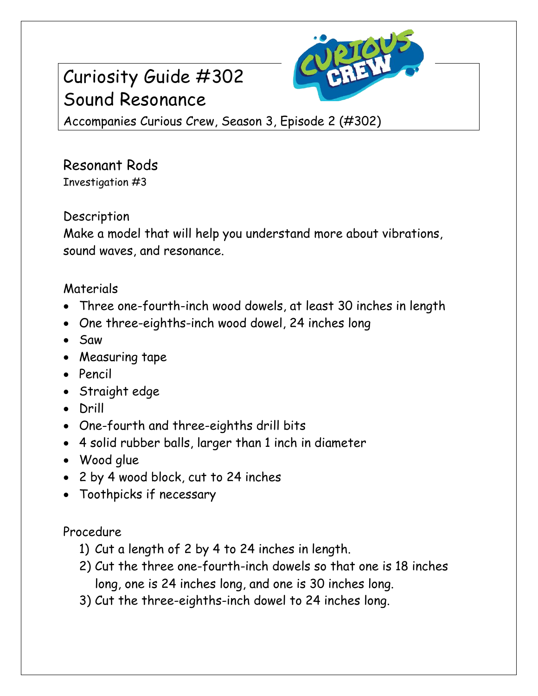## Curiosity Guide #302 Sound Resonance



Accompanies Curious Crew, Season 3, Episode 2 (#302)

Resonant Rods Investigation #3

## Description

Make a model that will help you understand more about vibrations, sound waves, and resonance.

## Materials

- Three one-fourth-inch wood dowels, at least 30 inches in length
- One three-eighths-inch wood dowel, 24 inches long
- Saw
- Measuring tape
- Pencil
- Straight edge
- Drill
- One-fourth and three-eighths drill bits
- 4 solid rubber balls, larger than 1 inch in diameter
- Wood glue
- 2 by 4 wood block, cut to 24 inches
- Toothpicks if necessary

Procedure

- 1) Cut a length of 2 by 4 to 24 inches in length.
- 2) Cut the three one-fourth-inch dowels so that one is 18 inches long, one is 24 inches long, and one is 30 inches long.
- 3) Cut the three-eighths-inch dowel to 24 inches long.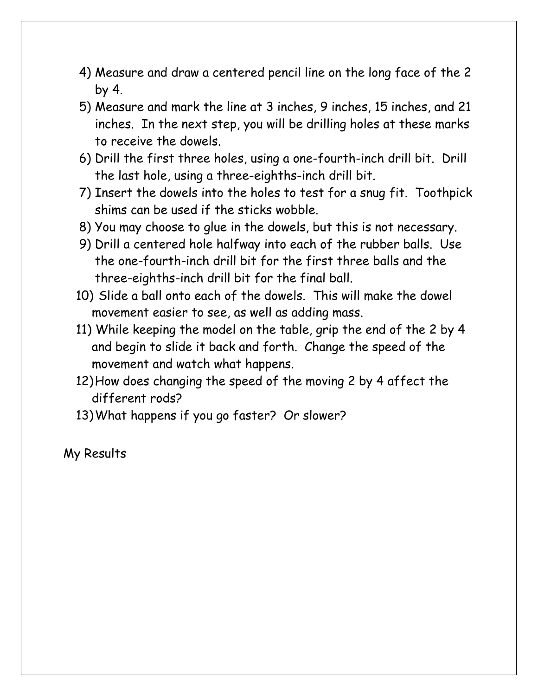- 4) Measure and draw a centered pencil line on the long face of the 2 by 4.
- 5) Measure and mark the line at 3 inches, 9 inches, 15 inches, and 21 inches. In the next step, you will be drilling holes at these marks to receive the dowels.
- 6) Drill the first three holes, using a one-fourth-inch drill bit. Drill the last hole, using a three-eighths-inch drill bit.
- 7) Insert the dowels into the holes to test for a snug fit. Toothpick shims can be used if the sticks wobble.
- 8) You may choose to glue in the dowels, but this is not necessary.
- 9) Drill a centered hole halfway into each of the rubber balls. Use the one-fourth-inch drill bit for the first three balls and the three-eighths-inch drill bit for the final ball.
- 10) Slide a ball onto each of the dowels. This will make the dowel movement easier to see, as well as adding mass.
- 11) While keeping the model on the table, grip the end of the 2 by 4 and begin to slide it back and forth. Change the speed of the movement and watch what happens.
- 12)How does changing the speed of the moving 2 by 4 affect the different rods?
- 13)What happens if you go faster? Or slower?

My Results